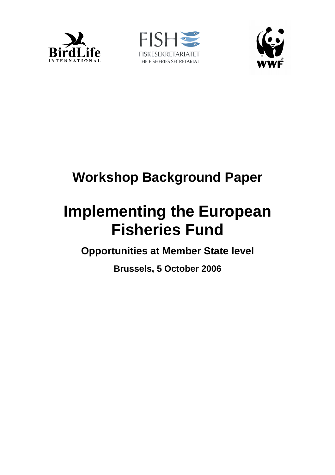





## **Workshop Background Paper**

# **Implementing the European Fisheries Fund**

**Opportunities at Member State level** 

**Brussels, 5 October 2006**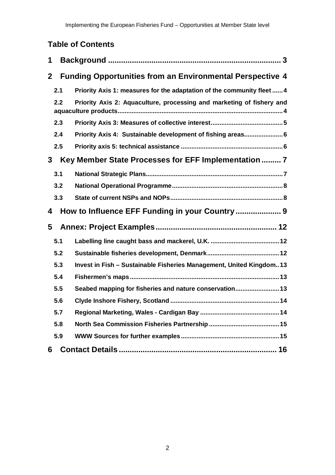## **Table of Contents**

| 1                                                         |                                                 |                                                                        |  |  |
|-----------------------------------------------------------|-------------------------------------------------|------------------------------------------------------------------------|--|--|
| $\mathbf{2}$                                              |                                                 | <b>Funding Opportunities from an Environmental Perspective 4</b>       |  |  |
|                                                           | 2.1                                             | Priority Axis 1: measures for the adaptation of the community fleet  4 |  |  |
|                                                           | 2.2                                             | Priority Axis 2: Aquaculture, processing and marketing of fishery and  |  |  |
|                                                           | 2.3                                             |                                                                        |  |  |
|                                                           | 2.4                                             | Priority Axis 4: Sustainable development of fishing areas 6            |  |  |
|                                                           | 2.5                                             |                                                                        |  |  |
| Key Member State Processes for EFF Implementation  7<br>3 |                                                 |                                                                        |  |  |
|                                                           | 3.1                                             |                                                                        |  |  |
|                                                           | 3.2                                             |                                                                        |  |  |
|                                                           | 3.3                                             |                                                                        |  |  |
| 4                                                         | How to Influence EFF Funding in your Country  9 |                                                                        |  |  |
| 5                                                         |                                                 |                                                                        |  |  |
|                                                           | 5.1                                             |                                                                        |  |  |
|                                                           | 5.2                                             |                                                                        |  |  |
|                                                           | 5.3                                             | Invest in Fish - Sustainable Fisheries Management, United Kingdom13    |  |  |
|                                                           | 5.4                                             |                                                                        |  |  |
|                                                           | 5.5                                             | Seabed mapping for fisheries and nature conservation 13                |  |  |
|                                                           | 5.6                                             |                                                                        |  |  |
|                                                           | 5.7                                             |                                                                        |  |  |
|                                                           | 5.8                                             |                                                                        |  |  |
|                                                           | 5.9                                             |                                                                        |  |  |
| 6                                                         |                                                 |                                                                        |  |  |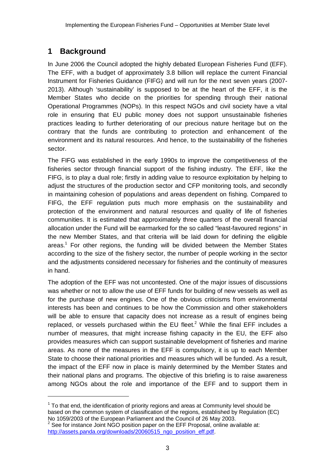## **1 Background**

In June 2006 the Council adopted the highly debated European Fisheries Fund (EFF). The EFF, with a budget of approximately 3.8 billion will replace the current Financial Instrument for Fisheries Guidance (FIFG) and will run for the next seven years (2007- 2013). Although 'sustainability' is supposed to be at the heart of the EFF, it is the Member States who decide on the priorities for spending through their national Operational Programmes (NOPs). In this respect NGOs and civil society have a vital role in ensuring that EU public money does not support unsustainable fisheries practices leading to further deteriorating of our precious nature heritage but on the contrary that the funds are contributing to protection and enhancement of the environment and its natural resources. And hence, to the sustainability of the fisheries sector.

The FIFG was established in the early 1990s to improve the competitiveness of the fisheries sector through financial support of the fishing industry. The EFF, like the FIFG, is to play a dual role; firstly in adding value to resource exploitation by helping to adjust the structures of the production sector and CFP monitoring tools, and secondly in maintaining cohesion of populations and areas dependent on fishing. Compared to FIFG, the EFF regulation puts much more emphasis on the sustainability and protection of the environment and natural resources and quality of life of fisheries communities. It is estimated that approximately three quarters of the overall financial allocation under the Fund will be earmarked for the so called "least-favoured regions" in the new Member States, and that criteria will be laid down for defining the eligible areas.<sup>1</sup> For other regions, the funding will be divided between the Member States according to the size of the fishery sector, the number of people working in the sector and the adjustments considered necessary for fisheries and the continuity of measures in hand.

The adoption of the EFF was not uncontested. One of the major issues of discussions was whether or not to allow the use of EFF funds for building of new vessels as well as for the purchase of new engines. One of the obvious criticisms from environmental interests has been and continues to be how the Commission and other stakeholders will be able to ensure that capacity does not increase as a result of engines being replaced, or vessels purchased within the EU fleet.<sup>2</sup> While the final EFF includes a number of measures, that might increase fishing capacity in the EU, the EFF also provides measures which can support sustainable development of fisheries and marine areas. As none of the measures in the EFF is compulsory, it is up to each Member State to choose their national priorities and measures which will be funded. As a result, the impact of the EFF now in place is mainly determined by the Member States and their national plans and programs. The objective of this briefing is to raise awareness among NGOs about the role and importance of the EFF and to support them in

 $1$  To that end, the identification of priority regions and areas at Community level should be based on the common system of classification of the regions, established by Regulation (EC) No 1059/2003 of the European Parliament and the Council of 26 May 2003.

 $2^2$  See for instance Joint NGO position paper on the EFF Proposal, online available at: http://assets.panda.org/downloads/20060515\_ngo\_position\_eff.pdf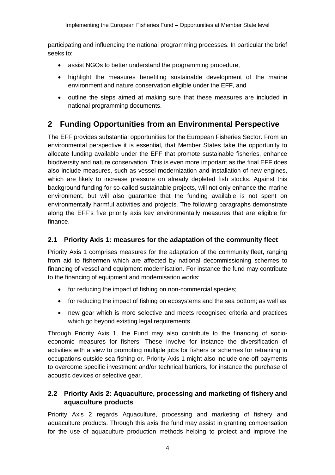participating and influencing the national programming processes. In particular the brief seeks to:

- assist NGOs to better understand the programming procedure,
- highlight the measures benefiting sustainable development of the marine environment and nature conservation eligible under the EFF, and
- outline the steps aimed at making sure that these measures are included in national programming documents.

## **2 Funding Opportunities from an Environmental Perspective**

The EFF provides substantial opportunities for the European Fisheries Sector. From an environmental perspective it is essential, that Member States take the opportunity to allocate funding available under the EFF that promote sustainable fisheries, enhance biodiversity and nature conservation. This is even more important as the final EFF does also include measures, such as vessel modernization and installation of new engines, which are likely to increase pressure on already depleted fish stocks. Against this background funding for so-called sustainable projects, will not only enhance the marine environment, but will also guarantee that the funding available is not spent on environmentally harmful activities and projects. The following paragraphs demonstrate along the EFF's five priority axis key environmentally measures that are eligible for finance.

## **2.1 Priority Axis 1: measures for the adaptation of the community fleet**

Priority Axis 1 comprises measures for the adaptation of the community fleet, ranging from aid to fishermen which are affected by national decommissioning schemes to financing of vessel and equipment modernisation. For instance the fund may contribute to the financing of equipment and modernisation works:

- for reducing the impact of fishing on non-commercial species;
- for reducing the impact of fishing on ecosystems and the sea bottom; as well as
- new gear which is more selective and meets recognised criteria and practices which go beyond existing legal requirements.

Through Priority Axis 1, the Fund may also contribute to the financing of socioeconomic measures for fishers. These involve for instance the diversification of activities with a view to promoting multiple jobs for fishers or schemes for retraining in occupations outside sea fishing or. Priority Axis 1 might also include one-off payments to overcome specific investment and/or technical barriers, for instance the purchase of acoustic devices or selective gear.

## **2.2 Priority Axis 2: Aquaculture, processing and marketing of fishery and aquaculture products**

Priority Axis 2 regards Aquaculture, processing and marketing of fishery and aquaculture products. Through this axis the fund may assist in granting compensation for the use of aquaculture production methods helping to protect and improve the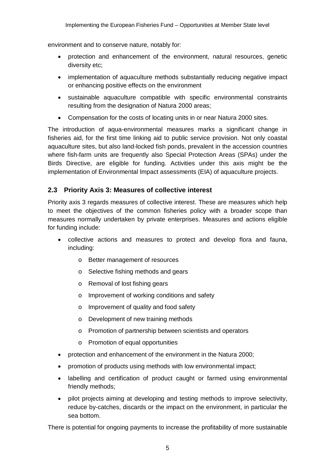environment and to conserve nature, notably for:

- protection and enhancement of the environment, natural resources, genetic diversity etc;
- implementation of aquaculture methods substantially reducing negative impact or enhancing positive effects on the environment
- sustainable aquaculture compatible with specific environmental constraints resulting from the designation of Natura 2000 areas;
- Compensation for the costs of locating units in or near Natura 2000 sites.

The introduction of aqua-environmental measures marks a significant change in fisheries aid, for the first time linking aid to public service provision. Not only coastal aquaculture sites, but also land-locked fish ponds, prevalent in the accession countries where fish-farm units are frequently also Special Protection Areas (SPAs) under the Birds Directive, are eligible for funding. Activities under this axis might be the implementation of Environmental Impact assessments (EIA) of aquaculture projects.

## **2.3 Priority Axis 3: Measures of collective interest**

Priority axis 3 regards measures of collective interest. These are measures which help to meet the objectives of the common fisheries policy with a broader scope than measures normally undertaken by private enterprises. Measures and actions eligible for funding include:

- collective actions and measures to protect and develop flora and fauna, including:
	- o Better management of resources
	- o Selective fishing methods and gears
	- o Removal of lost fishing gears
	- o Improvement of working conditions and safety
	- o Improvement of quality and food safety
	- o Development of new training methods
	- o Promotion of partnership between scientists and operators
	- o Promotion of equal opportunities
- protection and enhancement of the environment in the Natura 2000;
- promotion of products using methods with low environmental impact;
- labelling and certification of product caught or farmed using environmental friendly methods;
- pilot projects aiming at developing and testing methods to improve selectivity, reduce by-catches, discards or the impact on the environment, in particular the sea bottom.

There is potential for ongoing payments to increase the profitability of more sustainable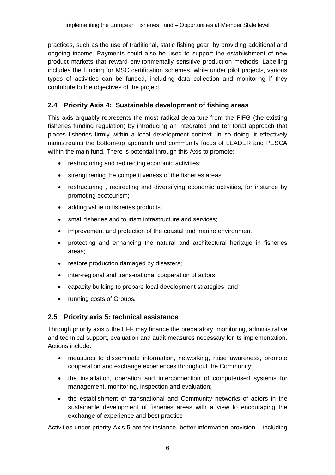practices, such as the use of traditional, static fishing gear, by providing additional and ongoing income. Payments could also be used to support the establishment of new product markets that reward environmentally sensitive production methods. Labelling includes the funding for MSC certification schemes, while under pilot projects, various types of activities can be funded, including data collection and monitoring if they contribute to the objectives of the project.

## **2.4 Priority Axis 4: Sustainable development of fishing areas**

This axis arguably represents the most radical departure from the FIFG (the existing fisheries funding regulation) by introducing an integrated and territorial approach that places fisheries firmly within a local development context. In so doing, it effectively mainstreams the bottom-up approach and community focus of LEADER and PESCA within the main fund. There is potential through this Axis to promote:

- restructuring and redirecting economic activities;
- strengthening the competitiveness of the fisheries areas;
- restructuring , redirecting and diversifying economic activities, for instance by promoting ecotourism;
- adding value to fisheries products;
- small fisheries and tourism infrastructure and services;
- improvement and protection of the coastal and marine environment;
- protecting and enhancing the natural and architectural heritage in fisheries areas;
- restore production damaged by disasters;
- inter-regional and trans-national cooperation of actors;
- capacity building to prepare local development strategies; and
- running costs of Groups.

#### **2.5 Priority axis 5: technical assistance**

Through priority axis 5 the EFF may finance the preparatory, monitoring, administrative and technical support, evaluation and audit measures necessary for its implementation. Actions include:

- measures to disseminate information, networking, raise awareness, promote cooperation and exchange experiences throughout the Community;
- the installation, operation and interconnection of computerised systems for management, monitoring, inspection and evaluation;
- the establishment of transnational and Community networks of actors in the sustainable development of fisheries areas with a view to encouraging the exchange of experience and best practice

Activities under priority Axis 5 are for instance, better information provision – including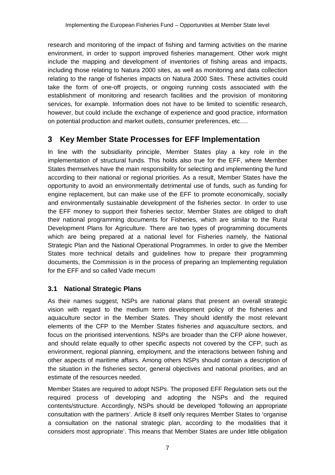research and monitoring of the impact of fishing and farming activities on the marine environment, in order to support improved fisheries management. Other work might include the mapping and development of inventories of fishing areas and impacts, including those relating to Natura 2000 sites, as well as monitoring and data collection relating to the range of fisheries impacts on Natura 2000 Sites. These activities could take the form of one-off projects, or ongoing running costs associated with the establishment of monitoring and research facilities and the provision of monitoring services, for example. Information does not have to be limited to scientific research, however, but could include the exchange of experience and good practice, information on potential production and market outlets, consumer preferences, etc….

## **3 Key Member State Processes for EFF Implementation**

In line with the subsidiarity principle, Member States play a key role in the implementation of structural funds. This holds also true for the EFF, where Member States themselves have the main responsibility for selecting and implementing the fund according to their national or regional priorities. As a result, Member States have the opportunity to avoid an environmentally detrimental use of funds, such as funding for engine replacement, but can make use of the EFF to promote economically, socially and environmentally sustainable development of the fisheries sector. In order to use the EFF money to support their fisheries sector, Member States are obliged to draft their national programming documents for Fisheries, which are similar to the Rural Development Plans for Agriculture. There are two types of programming documents which are being prepared at a national level for Fisheries namely, the National Strategic Plan and the National Operational Programmes. In order to give the Member States more technical details and guidelines how to prepare their programming documents, the Commission is in the process of preparing an Implementing regulation for the EFF and so called Vade mecum

## **3.1 National Strategic Plans**

As their names suggest, NSPs are national plans that present an overall strategic vision with regard to the medium term development policy of the fisheries and aquaculture sector in the Member States. They should identify the most relevant elements of the CFP to the Member States fisheries and aquaculture sectors, and focus on the prioritised interventions. NSPs are broader than the CFP alone however, and should relate equally to other specific aspects not covered by the CFP, such as environment, regional planning, employment, and the interactions between fishing and other aspects of maritime affairs. Among others NSPs should contain a description of the situation in the fisheries sector, general objectives and national priorities, and an estimate of the resources needed.

Member States are required to adopt NSPs. The proposed EFF Regulation sets out the required process of developing and adopting the NSPs and the required contents/structure. Accordingly, NSPs should be developed 'following an appropriate consultation with the partners'. Article 8 itself only requires Member States to 'organise a consultation on the national strategic plan, according to the modalities that it considers most appropriate'. This means that Member States are under little obligation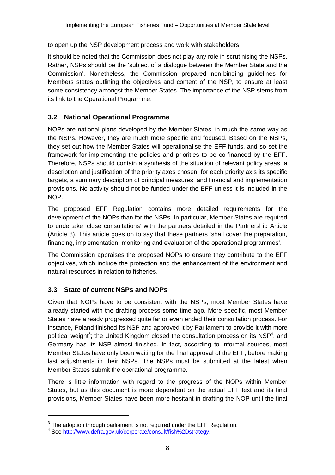to open up the NSP development process and work with stakeholders.

It should be noted that the Commission does not play any role in scrutinising the NSPs. Rather, NSPs should be the 'subject of a dialogue between the Member State and the Commission'. Nonetheless, the Commission prepared non-binding guidelines for Members states outlining the objectives and content of the NSP, to ensure at least some consistency amongst the Member States. The importance of the NSP stems from its link to the Operational Programme.

## **3.2 National Operational Programme**

NOPs are national plans developed by the Member States, in much the same way as the NSPs. However, they are much more specific and focused. Based on the NSPs, they set out how the Member States will operationalise the EFF funds, and so set the framework for implementing the policies and priorities to be co-financed by the EFF. Therefore, NSPs should contain a synthesis of the situation of relevant policy areas, a description and justification of the priority axes chosen, for each priority axis its specific targets, a summary description of principal measures, and financial and implementation provisions. No activity should not be funded under the EFF unless it is included in the NOP.

The proposed EFF Regulation contains more detailed requirements for the development of the NOPs than for the NSPs. In particular, Member States are required to undertake 'close consultations' with the partners detailed in the Partnership Article (Article 8). This article goes on to say that these partners 'shall cover the preparation, financing, implementation, monitoring and evaluation of the operational programmes'.

The Commission appraises the proposed NOPs to ensure they contribute to the EFF objectives, which include the protection and the enhancement of the environment and natural resources in relation to fisheries.

## **3.3 State of current NSPs and NOPs**

Given that NOPs have to be consistent with the NSPs, most Member States have already started with the drafting process some time ago. More specific, most Member States have already progressed quite far or even ended their consultation process. For instance, Poland finished its NSP and approved it by Parliament to provide it with more political weight<sup>3</sup>; the United Kingdom closed the consultation process on its NSP<sup>4</sup>, and Germany has its NSP almost finished. In fact, according to informal sources, most Member States have only been waiting for the final approval of the EFF, before making last adjustments in their NSPs. The NSPs must be submitted at the latest when Member States submit the operational programme.

There is little information with regard to the progress of the NOPs within Member States, but as this document is more dependent on the actual EFF text and its final provisions, Member States have been more hesitant in drafting the NOP until the final

 $\overline{a}$ 

 $3$  The adoption through parliament is not required under the EFF Regulation.

<sup>&</sup>lt;sup>4</sup> See http://www.defra.gov.uk/corporate/consult/fish%2Dstrategy.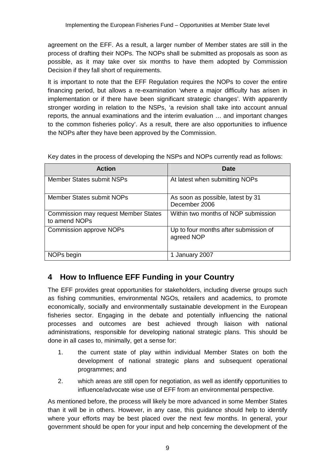agreement on the EFF. As a result, a larger number of Member states are still in the process of drafting their NOPs. The NOPs shall be submitted as proposals as soon as possible, as it may take over six months to have them adopted by Commission Decision if they fall short of requirements.

It is important to note that the EFF Regulation requires the NOPs to cover the entire financing period, but allows a re-examination 'where a major difficulty has arisen in implementation or if there have been significant strategic changes'. With apparently stronger wording in relation to the NSPs, 'a revision shall take into account annual reports, the annual examinations and the interim evaluation … and important changes to the common fisheries policy'. As a result, there are also opportunities to influence the NOPs after they have been approved by the Commission.

| <b>Action</b>                                                | Date                                                |
|--------------------------------------------------------------|-----------------------------------------------------|
| Member States submit NSPs                                    | At latest when submitting NOPs                      |
| <b>Member States submit NOPs</b>                             | As soon as possible, latest by 31<br>December 2006  |
| <b>Commission may request Member States</b><br>to amend NOPs | Within two months of NOP submission                 |
| <b>Commission approve NOPs</b>                               | Up to four months after submission of<br>agreed NOP |
| NOPs begin                                                   | 1 January 2007                                      |

Key dates in the process of developing the NSPs and NOPs currently read as follows:

## **4 How to Influence EFF Funding in your Country**

The EFF provides great opportunities for stakeholders, including diverse groups such as fishing communities, environmental NGOs, retailers and academics, to promote economically, socially and environmentally sustainable development in the European fisheries sector. Engaging in the debate and potentially influencing the national processes and outcomes are best achieved through liaison with national administrations, responsible for developing national strategic plans. This should be done in all cases to, minimally, get a sense for:

- 1. the current state of play within individual Member States on both the development of national strategic plans and subsequent operational programmes; and
- 2. which areas are still open for negotiation, as well as identify opportunities to influence/advocate wise use of EFF from an environmental perspective.

As mentioned before, the process will likely be more advanced in some Member States than it will be in others. However, in any case, this guidance should help to identify where your efforts may be best placed over the next few months. In general, your government should be open for your input and help concerning the development of the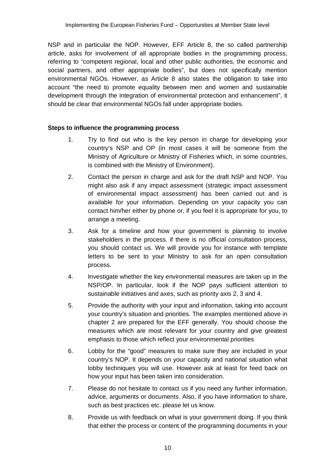NSP and in particular the NOP. However, EFF Article 8, the so called partnership article, asks for involvement of all appropriate bodies in the programming process, referring to "competent regional, local and other public authorities, the economic and social partners, and other appropriate bodies", but does not specifically mention environmental NGOs. However, as Article 8 also states the obligation to take into account "the need to promote equality between men and women and sustainable development through the integration of environmental protection and enhancement", it should be clear that environmental NGOs fall under appropriate bodies.

#### **Steps to influence the programming process**

- 1. Try to find out who is the key person in charge for developing your country's NSP and OP (in most cases it will be someone from the Ministry of Agriculture or Ministry of Fisheries which, in some countries, is combined with the Ministry of Environment).
- 2. Contact the person in charge and ask for the draft NSP and NOP. You might also ask if any impact assessment (strategic impact assessment of environmental impact assessment) has been carried out and is available for your information. Depending on your capacity you can contact him/her either by phone or, if you feel it is appropriate for you, to arrange a meeting.
- 3. Ask for a timeline and how your government is planning to involve stakeholders in the process. if there is no official consultation process, you should contact us. We will provide you for instance with template letters to be sent to your Ministry to ask for an open consultation process.
- 4. Investigate whether the key environmental measures are taken up in the NSP/OP. In particular, look if the NOP pays sufficient attention to sustainable initiatives and axes, such as priority axis 2, 3 and 4.
- 5. Provide the authority with your input and information, taking into account your country's situation and priorities. The examples mentioned above in chapter 2 are prepared for the EFF generally. You should choose the measures which are most relevant for your country and give greatest emphasis to those which reflect your environmental priorities
- 6. Lobby for the "good" measures to make sure they are included in your country's NOP. It depends on your capacity and national situation what lobby techniques you will use. However ask at least for feed back on how your input has been taken into consideration.
- 7. Please do not hesitate to contact us if you need any further information, advice, arguments or documents. Also, if you have information to share, such as best practices etc. please let us know.
- 8. Provide us with feedback on what is your government doing. If you think that either the process or content of the programming documents in your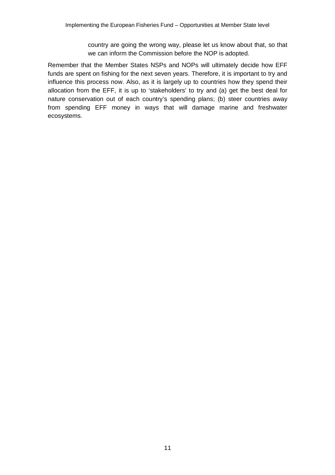country are going the wrong way, please let us know about that, so that we can inform the Commission before the NOP is adopted.

Remember that the Member States NSPs and NOPs will ultimately decide how EFF funds are spent on fishing for the next seven years. Therefore, it is important to try and influence this process now. Also, as it is largely up to countries how they spend their allocation from the EFF, it is up to 'stakeholders' to try and (a) get the best deal for nature conservation out of each country's spending plans; (b) steer countries away from spending EFF money in ways that will damage marine and freshwater ecosystems.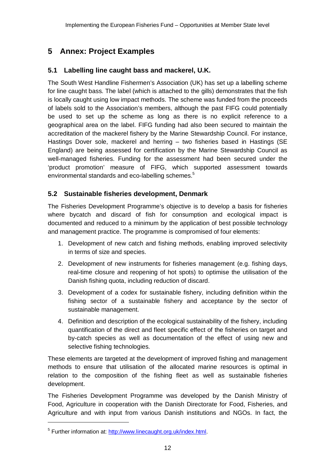## **5 Annex: Project Examples**

## **5.1 Labelling line caught bass and mackerel, U.K.**

The South West Handline Fishermen's Association (UK) has set up a labelling scheme for line caught bass. The label (which is attached to the gills) demonstrates that the fish is locally caught using low impact methods. The scheme was funded from the proceeds of labels sold to the Association's members, although the past FIFG could potentially be used to set up the scheme as long as there is no explicit reference to a geographical area on the label. FIFG funding had also been secured to maintain the accreditation of the mackerel fishery by the Marine Stewardship Council. For instance, Hastings Dover sole, mackerel and herring – two fisheries based in Hastings (SE England) are being assessed for certification by the Marine Stewardship Council as well-managed fisheries. Funding for the assessment had been secured under the 'product promotion' measure of FIFG, which supported assessment towards environmental standards and eco-labelling schemes.<sup>5</sup>

## **5.2 Sustainable fisheries development, Denmark**

The Fisheries Development Programme's objective is to develop a basis for fisheries where bycatch and discard of fish for consumption and ecological impact is documented and reduced to a minimum by the application of best possible technology and management practice. The programme is compromised of four elements:

- 1. Development of new catch and fishing methods, enabling improved selectivity in terms of size and species.
- 2. Development of new instruments for fisheries management (e.g. fishing days, real-time closure and reopening of hot spots) to optimise the utilisation of the Danish fishing quota, including reduction of discard.
- 3. Development of a codex for sustainable fishery, including definition within the fishing sector of a sustainable fishery and acceptance by the sector of sustainable management.
- 4. Definition and description of the ecological sustainability of the fishery, including quantification of the direct and fleet specific effect of the fisheries on target and by-catch species as well as documentation of the effect of using new and selective fishing technologies.

These elements are targeted at the development of improved fishing and management methods to ensure that utilisation of the allocated marine resources is optimal in relation to the composition of the fishing fleet as well as sustainable fisheries development.

The Fisheries Development Programme was developed by the Danish Ministry of Food, Agriculture in cooperation with the Danish Directorate for Food, Fisheries, and Agriculture and with input from various Danish institutions and NGOs. In fact, the

<sup>&</sup>lt;sup>5</sup> Further information at: http://www.linecaught.org.uk/index.html.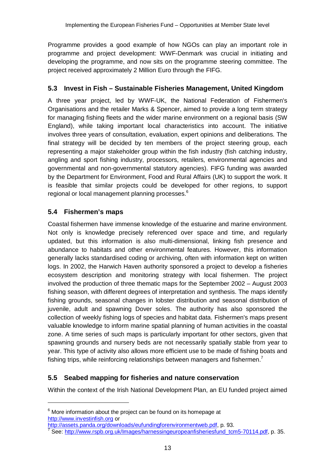Programme provides a good example of how NGOs can play an important role in programme and project development: WWF-Denmark was crucial in initiating and developing the programme, and now sits on the programme steering committee. The project received approximately 2 Million Euro through the FIFG.

## **5.3 Invest in Fish – Sustainable Fisheries Management, United Kingdom**

A three year project, led by WWF-UK, the National Federation of Fishermen's Organisations and the retailer Marks & Spencer, aimed to provide a long term strategy for managing fishing fleets and the wider marine environment on a regional basis (SW England), while taking important local characteristics into account. The initiative involves three years of consultation, evaluation, expert opinions and deliberations. The final strategy will be decided by ten members of the project steering group, each representing a major stakeholder group within the fish industry (fish catching industry, angling and sport fishing industry, processors, retailers, environmental agencies and governmental and non-governmental statutory agencies). FIFG funding was awarded by the Department for Environment, Food and Rural Affairs (UK) to support the work. It is feasible that similar projects could be developed for other regions, to support regional or local management planning processes.<sup>6</sup>

## **5.4 Fishermen's maps**

Coastal fishermen have immense knowledge of the estuarine and marine environment. Not only is knowledge precisely referenced over space and time, and regularly updated, but this information is also multi-dimensional, linking fish presence and abundance to habitats and other environmental features. However, this information generally lacks standardised coding or archiving, often with information kept on written logs. In 2002, the Harwich Haven authority sponsored a project to develop a fisheries ecosystem description and monitoring strategy with local fishermen. The project involved the production of three thematic maps for the September 2002 – August 2003 fishing season, with different degrees of interpretation and synthesis. The maps identify fishing grounds, seasonal changes in lobster distribution and seasonal distribution of juvenile, adult and spawning Dover soles. The authority has also sponsored the collection of weekly fishing logs of species and habitat data. Fishermen's maps present valuable knowledge to inform marine spatial planning of human activities in the coastal zone. A time series of such maps is particularly important for other sectors, given that spawning grounds and nursery beds are not necessarily spatially stable from year to year. This type of activity also allows more efficient use to be made of fishing boats and fishing trips, while reinforcing relationships between managers and fishermen.<sup>7</sup>

## **5.5 Seabed mapping for fisheries and nature conservation**

Within the context of the Irish National Development Plan, an EU funded project aimed

 $6$  More information about the project can be found on its homepage at http://www.investinfish.org or

http://assets.panda.org/downloads/eufundingforenvironmentweb.pdf, p. 93.

<sup>7</sup> See: http://www.rspb.org.uk/Images/harnessingeuropeanfisheriesfund\_tcm5-70114.pdf, p. 35.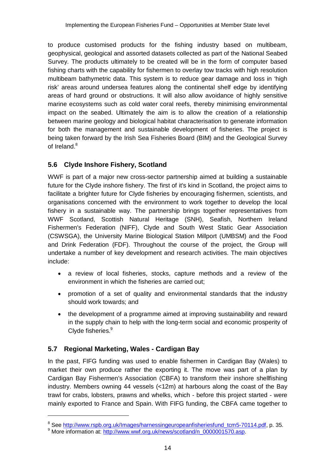to produce customised products for the fishing industry based on multibeam, geophysical, geological and assorted datasets collected as part of the National Seabed Survey. The products ultimately to be created will be in the form of computer based fishing charts with the capability for fishermen to overlay tow tracks with high resolution multibeam bathymetric data. This system is to reduce gear damage and loss in 'high risk' areas around undersea features along the continental shelf edge by identifying areas of hard ground or obstructions. It will also allow avoidance of highly sensitive marine ecosystems such as cold water coral reefs, thereby minimising environmental impact on the seabed. Ultimately the aim is to allow the creation of a relationship between marine geology and biological habitat characterisation to generate information for both the management and sustainable development of fisheries. The project is being taken forward by the Irish Sea Fisheries Board (BIM) and the Geological Survey of Ireland.<sup>8</sup>

## **5.6 Clyde Inshore Fishery, Scotland**

WWF is part of a major new cross-sector partnership aimed at building a sustainable future for the Clyde inshore fishery. The first of it's kind in Scotland, the project aims to facilitate a brighter future for Clyde fisheries by encouraging fishermen, scientists, and organisations concerned with the environment to work together to develop the local fishery in a sustainable way. The partnership brings together representatives from WWF Scotland, Scottish Natural Heritage (SNH), Seafish, Northern Ireland Fishermen's Federation (NIFF), Clyde and South West Static Gear Association (CSWSGA), the University Marine Biological Station Millport (UMBSM) and the Food and Drink Federation (FDF). Throughout the course of the project, the Group will undertake a number of key development and research activities. The main objectives include:

- a review of local fisheries, stocks, capture methods and a review of the environment in which the fisheries are carried out;
- promotion of a set of quality and environmental standards that the industry should work towards; and
- the development of a programme aimed at improving sustainability and reward in the supply chain to help with the long-term social and economic prosperity of Clyde fisheries.<sup>9</sup>

## **5.7 Regional Marketing, Wales - Cardigan Bay**

 $\overline{a}$ 

In the past, FIFG funding was used to enable fishermen in Cardigan Bay (Wales) to market their own produce rather the exporting it. The move was part of a plan by Cardigan Bay Fishermen's Association (CBFA) to transform their inshore shellfishing industry. Members owning 44 vessels (<12m) at harbours along the coast of the Bay trawl for crabs, lobsters, prawns and whelks, which - before this project started - were mainly exported to France and Spain. With FIFG funding, the CBFA came together to

<sup>&</sup>lt;sup>8</sup> See http://www.rspb.org.uk/Images/harnessingeuropeanfisheriesfund\_tcm5-70114.pdf, p. 35.

<sup>&</sup>lt;sup>9</sup> More information at: http://www.wwf.org.uk/news/scotland/n\_0000001570.asp.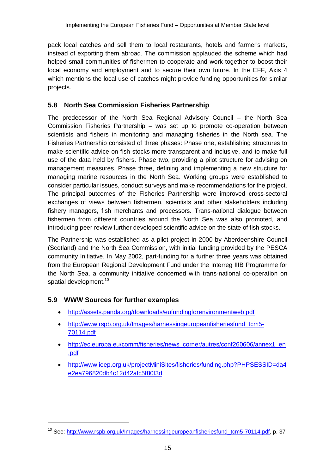pack local catches and sell them to local restaurants, hotels and farmer's markets, instead of exporting them abroad. The commission applauded the scheme which had helped small communities of fishermen to cooperate and work together to boost their local economy and employment and to secure their own future. In the EFF, Axis 4 which mentions the local use of catches might provide funding opportunities for similar projects.

## **5.8 North Sea Commission Fisheries Partnership**

The predecessor of the North Sea Regional Advisory Council – the North Sea Commission Fisheries Partnership – was set up to promote co-operation between scientists and fishers in monitoring and managing fisheries in the North sea. The Fisheries Partnership consisted of three phases: Phase one, establishing structures to make scientific advice on fish stocks more transparent and inclusive, and to make full use of the data held by fishers. Phase two, providing a pilot structure for advising on management measures. Phase three, defining and implementing a new structure for managing marine resources in the North Sea. Working groups were established to consider particular issues, conduct surveys and make recommendations for the project. The principal outcomes of the Fisheries Partnership were improved cross-sectoral exchanges of views between fishermen, scientists and other stakeholders including fishery managers, fish merchants and processors. Trans-national dialogue between fishermen from different countries around the North Sea was also promoted, and introducing peer review further developed scientific advice on the state of fish stocks.

The Partnership was established as a pilot project in 2000 by Aberdeenshire Council (Scotland) and the North Sea Commission, with initial funding provided by the PESCA community Initiative. In May 2002, part-funding for a further three years was obtained from the European Regional Development Fund under the Interreg IIIB Programme for the North Sea, a community initiative concerned with trans-national co-operation on spatial development.<sup>10</sup>

## **5.9 WWW Sources for further examples**

- http://assets.panda.org/downloads/eufundingforenvironmentweb.pdf
- http://www.rspb.org.uk/Images/harnessingeuropeanfisheriesfund\_tcm5-70114.pdf
- http://ec.europa.eu/comm/fisheries/news\_corner/autres/conf260606/annex1\_en .pdf
- http://www.ieep.org.uk/projectMiniSites/fisheries/funding.php?PHPSESSID=da4 e2ea796820db4c12d42afc5f80f3d

<sup>&</sup>lt;sup>10</sup> See: http://www.rspb.org.uk/Images/harnessingeuropeanfisheriesfund\_tcm5-70114.pdf, p. 37